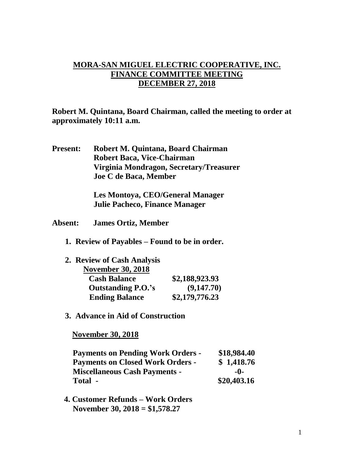## **MORA-SAN MIGUEL ELECTRIC COOPERATIVE, INC. FINANCE COMMITTEE MEETING DECEMBER 27, 2018**

**Robert M. Quintana, Board Chairman, called the meeting to order at approximately 10:11 a.m.**

**Present: Robert M. Quintana, Board Chairman Robert Baca, Vice-Chairman Virginia Mondragon, Secretary/Treasurer Joe C de Baca, Member**

> **Les Montoya, CEO/General Manager Julie Pacheco, Finance Manager**

- **Absent: James Ortiz, Member**
	- **1. Review of Payables – Found to be in order.**

| 2. Review of Cash Analysis |                |
|----------------------------|----------------|
| <b>November 30, 2018</b>   |                |
| <b>Cash Balance</b>        | \$2,188,923.93 |
| <b>Outstanding P.O.'s</b>  | (9,147.70)     |
| <b>Ending Balance</b>      | \$2,179,776.23 |

**3. Advance in Aid of Construction**

 **November 30, 2018**

| <b>Payments on Pending Work Orders -</b> | \$18,984.40 |
|------------------------------------------|-------------|
| <b>Payments on Closed Work Orders -</b>  | \$1,418.76  |
| <b>Miscellaneous Cash Payments -</b>     | -0-         |
| Total -                                  | \$20,403.16 |

 **4. Customer Refunds – Work Orders November 30, 2018 = \$1,578.27**